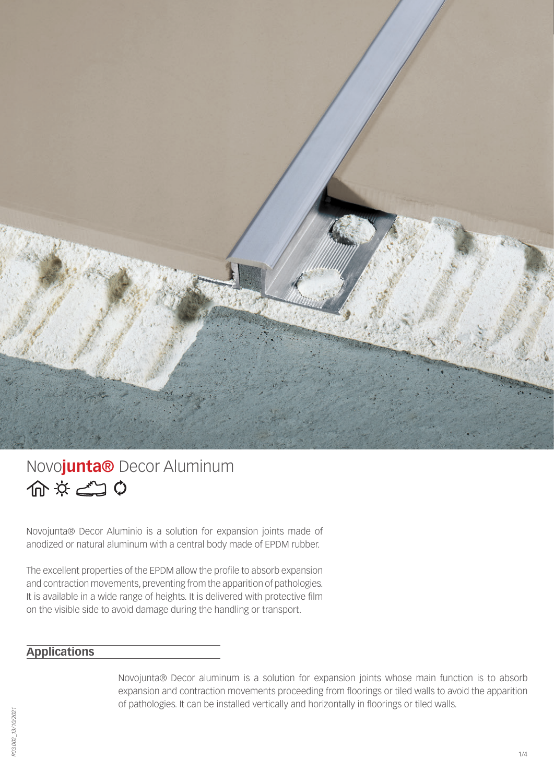

# Novo**junta®** Decor Aluminum 命なごの

Novojunta® Decor Aluminio is a solution for expansion joints made of anodized or natural aluminum with a central body made of EPDM rubber.

The excellent properties of the EPDM allow the profile to absorb expansion and contraction movements, preventing from the apparition of pathologies. It is available in a wide range of heights. It is delivered with protective film on the visible side to avoid damage during the handling or transport.

## **Applications**

Novojunta® Decor aluminum is a solution for expansion joints whose main function is to absorb expansion and contraction movements proceeding from floorings or tiled walls to avoid the apparition of pathologies. It can be installed vertically and horizontally in floorings or tiled walls.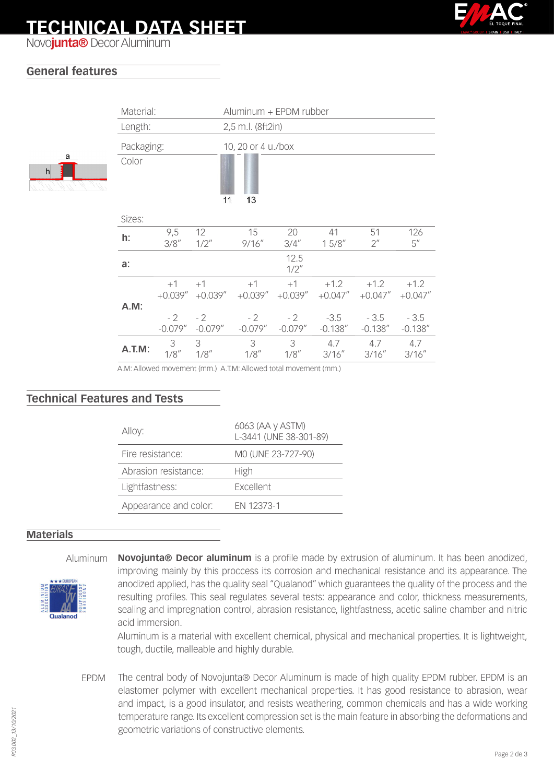# **TECHNICAL DATA SHEET**



Novo**junta®** Decor Aluminum

## **General features**

a

| Material:<br>Aluminum + EPDM rubber |            |                    |                    |                    |                    |                      |                          |                      |  |
|-------------------------------------|------------|--------------------|--------------------|--------------------|--------------------|----------------------|--------------------------|----------------------|--|
|                                     | Length:    |                    |                    | 2,5 m.l. (8ft2in)  |                    |                      |                          |                      |  |
|                                     | Packaging: |                    |                    | 10, 20 or 4 u./box |                    |                      |                          |                      |  |
|                                     | Color      |                    | 11                 | 13                 |                    |                      |                          |                      |  |
|                                     | Sizes:     |                    |                    |                    |                    |                      |                          |                      |  |
|                                     | h:         | 9,5<br>3/8''       | 12<br>$1/2$ "      | 15<br>9/16''       | 20<br>3/4''        | 41<br>15/8"          | 51<br>$2^{\prime\prime}$ | 126<br>5''           |  |
|                                     | a:         |                    |                    |                    | 12.5<br>$1/2$ "    |                      |                          |                      |  |
|                                     | A.M:       | $+1$<br>$+0.039''$ | $+1$<br>$+0.039''$ | $+1$<br>$+0.039''$ | $+1$<br>$+0.039''$ | $+1.2$<br>$+0.047''$ | $+1.2$<br>$+0.047''$     | $+1.2$<br>$+0.047''$ |  |
|                                     |            | $-2$<br>$-0.079''$ | $-2$<br>$-0.079''$ | $-2$<br>$-0.079''$ | $-2$<br>$-0.079''$ | $-3.5$<br>$-0.138''$ | $-3.5$<br>$-0.138''$     | $-3.5$<br>$-0.138''$ |  |
|                                     | A.T.M:     | 3<br>1/8''         | 3<br>1/8''         | 3<br>1/8''         | 3<br>1/8''         | 4.7<br>3/16''        | 4.7<br>3/16''            | 4.7<br>3/16''        |  |

A.M: Allowed movement (mm.) A.T.M: Allowed total movement (mm.)

### **Technical Features and Tests**

| Alloy:                | 6063 (AA y ASTM)<br>L-3441 (UNE 38-301-89) |  |  |
|-----------------------|--------------------------------------------|--|--|
| Fire resistance:      | MO (UNE 23-727-90)                         |  |  |
| Abrasion resistance:  | High                                       |  |  |
| Lightfastness:        | <b>Excellent</b>                           |  |  |
| Appearance and color: | FN 12373-1                                 |  |  |
|                       |                                            |  |  |

#### **Materials**

Aluminum **Novojunta® Decor aluminum** is a profile made by extrusion of aluminum. It has been anodized, improving mainly by this proccess its corrosion and mechanical resistance and its appearance. The anodized applied, has the quality seal "Qualanod" which guarantees the quality of the process and the resulting profiles. This seal regulates several tests: appearance and color, thickness measurements, sealing and impregnation control, abrasion resistance, lightfastness, acetic saline chamber and nitric acid immersion.

> Aluminum is a material with excellent chemical, physical and mechanical properties. It is lightweight, tough, ductile, malleable and highly durable.

EPDM The central body of Novojunta® Decor Aluminum is made of high quality EPDM rubber. EPDM is an elastomer polymer with excellent mechanical properties. It has good resistance to abrasion, wear and impact, is a good insulator, and resists weathering, common chemicals and has a wide working temperature range. Its excellent compression set is the main feature in absorbing the deformations and geometric variations of constructive elements.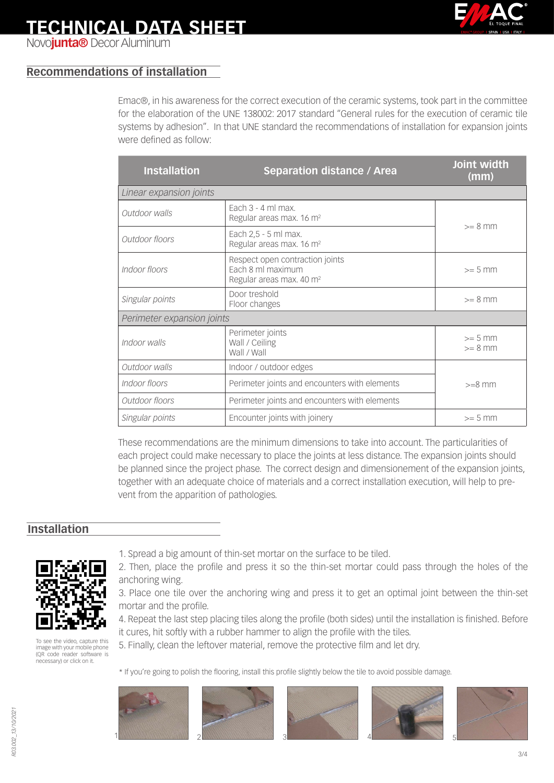

Novo**junta®** Decor Aluminum

## **Recommendations of installation**

Emac®, in his awareness for the correct execution of the ceramic systems, took part in the committee for the elaboration of the UNE 138002: 2017 standard "General rules for the execution of ceramic tile systems by adhesion". In that UNE standard the recommendations of installation for expansion joints were defined as follow:

| <b>Installation</b>                                                                                           | <b>Separation distance / Area</b>                            | Joint width<br>(mm)    |  |  |  |  |  |
|---------------------------------------------------------------------------------------------------------------|--------------------------------------------------------------|------------------------|--|--|--|--|--|
| Linear expansion joints                                                                                       |                                                              |                        |  |  |  |  |  |
| Outdoor walls                                                                                                 | Each $3 - 4$ ml max.<br>Regular areas max. 16 m <sup>2</sup> | $>= 8$ mm              |  |  |  |  |  |
| Outdoor floors                                                                                                | Each 2,5 - 5 ml max.<br>Regular areas max. 16 m <sup>2</sup> |                        |  |  |  |  |  |
| Respect open contraction joints<br>Each 8 ml maximum<br>Indoor floors<br>Regular areas max. 40 m <sup>2</sup> |                                                              | $>= 5$ mm              |  |  |  |  |  |
| Door treshold<br>Singular points<br>Floor changes                                                             |                                                              | $>= 8$ mm              |  |  |  |  |  |
| Perimeter expansion joints                                                                                    |                                                              |                        |  |  |  |  |  |
| Indoor walls                                                                                                  | Perimeter joints<br>Wall / Ceiling<br>Wall / Wall            | $>= 5$ mm<br>$>= 8$ mm |  |  |  |  |  |
| Outdoor walls                                                                                                 | Indoor / outdoor edges                                       |                        |  |  |  |  |  |
| Indoor floors                                                                                                 | Perimeter joints and encounters with elements                | $>=8$ mm               |  |  |  |  |  |
| Outdoor floors                                                                                                | Perimeter joints and encounters with elements                |                        |  |  |  |  |  |
| Singular points                                                                                               | Encounter joints with joinery                                | $>= 5$ mm              |  |  |  |  |  |

These recommendations are the minimum dimensions to take into account. The particularities of each project could make necessary to place the joints at less distance. The expansion joints should be planned since the project phase. The correct design and dimensionement of the expansion joints, together with an adequate choice of materials and a correct installation execution, will help to prevent from the apparition of pathologies.

### **Installation**



[To see the video, capture this](http://www.youtube.com/watch?v=Y81EHfIP3E4)  image with your mobile phone (QR code reader software is necessary) or click on it.

1. Spread a big amount of thin-set mortar on the surface to be tiled.

- 4. Repeat the last step placing tiles along the profile (both sides) until the installation is finished. Before it cures, hit softly with a rubber hammer to align the profile with the tiles.
- 5. Finally, clean the leftover material, remove the protective film and let dry.
- \* If you're going to polish the flooring, install this profile slightly below the tile to avoid possible damage.











<sup>2.</sup> Then, place the profile and press it so the thin-set mortar could pass through the holes of the anchoring wing.

<sup>3.</sup> Place one tile over the anchoring wing and press it to get an optimal joint between the thin-set mortar and the profile.